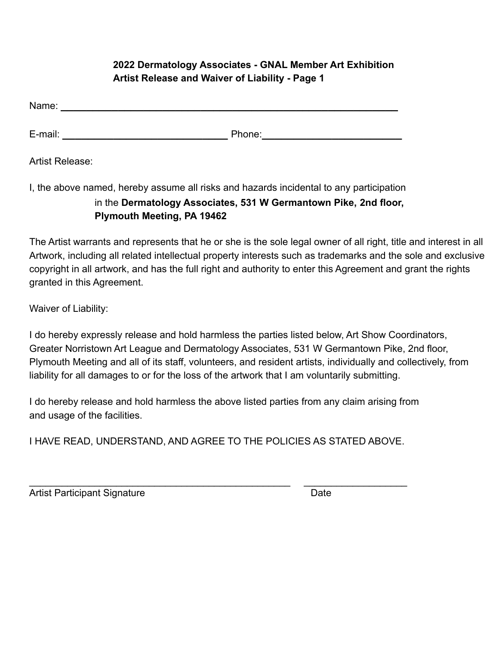## **2022 Dermatology Associates - GNAL Member Art Exhibition Artist Release and Waiver of Liability - Page 1**

| Name: |  |  |  |  |
|-------|--|--|--|--|
|       |  |  |  |  |

E-mail: **\_\_\_\_\_\_\_\_\_\_\_\_\_\_\_\_\_\_\_\_\_\_\_\_\_\_** Phone:**\_\_\_\_\_\_\_\_\_\_\_\_\_\_\_\_\_\_\_\_\_\_**

Artist Release:

I, the above named, hereby assume all risks and hazards incidental to any participation

## in the **Dermatology Associates, 531 W Germantown Pike, 2nd floor, Plymouth Meeting, PA 19462**

The Artist warrants and represents that he or she is the sole legal owner of all right, title and interest in all Artwork, including all related intellectual property interests such as trademarks and the sole and exclusive copyright in all artwork, and has the full right and authority to enter this Agreement and grant the rights granted in this Agreement.

Waiver of Liability:

I do hereby expressly release and hold harmless the parties listed below, Art Show Coordinators, Greater Norristown Art League and Dermatology Associates, 531 W Germantown Pike, 2nd floor, Plymouth Meeting and all of its staff, volunteers, and resident artists, individually and collectively, from liability for all damages to or for the loss of the artwork that I am voluntarily submitting.

I do hereby release and hold harmless the above listed parties from any claim arising from and usage of the facilities.

I HAVE READ, UNDERSTAND, AND AGREE TO THE POLICIES AS STATED ABOVE.

\_\_\_\_\_\_\_\_\_\_\_\_\_\_\_\_\_\_\_\_\_\_\_\_\_\_\_\_\_\_\_\_\_\_\_\_\_\_\_\_\_\_\_\_\_\_\_\_ \_\_\_\_\_\_\_\_\_\_\_\_\_\_\_\_\_\_\_ Artist Participant Signature **Date** Date